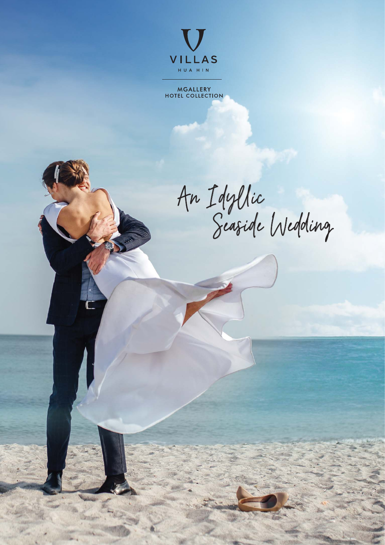

MGALLERY<br>HOTEL COLLECTION

An Idyllic<br>Seaside Wedding